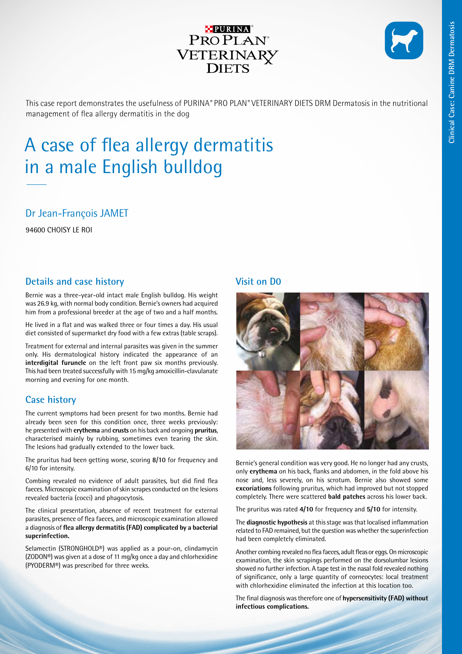

This case report demonstrates the usefulness of PURINA*®* PRO PLAN*®* VETERINARY DIETS DRM Dermatosis in the nutritional management of flea allergy dermatitis in the dog

# A case of flea allergy dermatitis in a male English bulldog

## Dr Jean-François JAMET

94600 CHOISY LE ROI

## **Details and case history**

Bernie was a three-year-old intact male English bulldog. His weight was 26.9 kg, with normal body condition. Bernie's owners had acquired him from a professional breeder at the age of two and a half months.

He lived in a flat and was walked three or four times a day. His usual diet consisted of supermarket dry food with a few extras (table scraps).

Treatment for external and internal parasites was given in the summer only. His dermatological history indicated the appearance of an **interdigital furuncle** on the left front paw six months previously. This had been treated successfully with 15 mg/kg amoxicillin-clavulanate morning and evening for one month.

## **Case history**

The current symptoms had been present for two months. Bernie had already been seen for this condition once, three weeks previously: he presented with **erythema** and **crusts** on his back and ongoing **pruritus**, characterised mainly by rubbing, sometimes even tearing the skin. The lesions had gradually extended to the lower back.

The pruritus had been getting worse, scoring **8/10** for frequency and 6/10 for intensity.

Combing revealed no evidence of adult parasites, but did find flea faeces. Microscopic examination of skin scrapes conducted on the lesions revealed bacteria (cocci) and phagocytosis.

The clinical presentation, absence of recent treatment for external parasites, presence of flea faeces, and microscopic examination allowed a diagnosis of **flea allergy dermatitis (FAD) complicated by a bacterial superinfection.**

Selamectin (STRONGHOLD®) was applied as a pour-on, clindamycin (ZODON®) was given at a dose of 11 mg/kg once a day and chlorhexidine (PYODERM®) was prescribed for three weeks.

### **Visit on D0**



Bernie's general condition was very good. He no longer had any crusts, only **erythema** on his back, flanks and abdomen, in the fold above his nose and, less severely, on his scrotum. Bernie also showed some **excoriations** following pruritus, which had improved but not stopped completely. There were scattered **bald patches** across his lower back.

The pruritus was rated **4/10** for frequency and **5/10** for intensity.

The **diagnostic hypothesis** at this stage was that localised inflammation related to FAD remained, but the question was whether the superinfection had been completely eliminated.

Another combing revealed no flea faeces, adult fleas or eggs. On microscopic examination, the skin scrapings performed on the dorsolumbar lesions showed no further infection. A tape test in the nasal fold revealed nothing of significance, only a large quantity of corneocytes: local treatment with chlorhexidine eliminated the infection at this location too.

The final diagnosis was therefore one of **hypersensitivity (FAD) without infectious complications.**